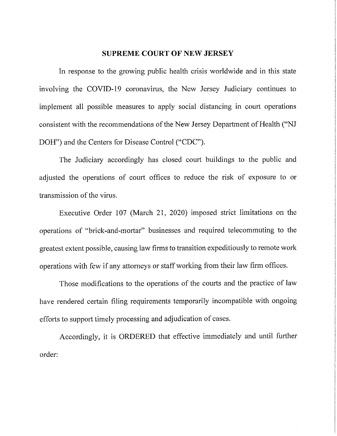## **SUPREME COURT OF NEW JERSEY**

In response to the growing public health crisis worldwide and in this state involving the COVID-19 coronavirus, the New Jersey Judiciary continues to implement all possible measures to apply social distancing in court operations consistent with the recommendations of the New Jersey Department of Health ("NJ DOH") and the Centers for Disease Control ("CDC").

The Judiciary accordingly has closed court buildings to the public and adjusted the operations of court offices to reduce the risk of exposure to or transmission of the virus.

Executive Order 107 (March 21, 2020) imposed strict limitations on the operations of "brick-and-mortar" businesses and required telecommuting to the greatest extent possible, causing law firms to transition expeditiously to remote work operations with few if any attorneys or staff working from their law firm offices.

Those modifications to the operations of the courts and the practice of law have rendered certain filing requirements temporarily incompatible with ongoing efforts to support timely processing and adjudication of cases.

Accordingly, it is ORDERED that effective immediately and until futiher order: